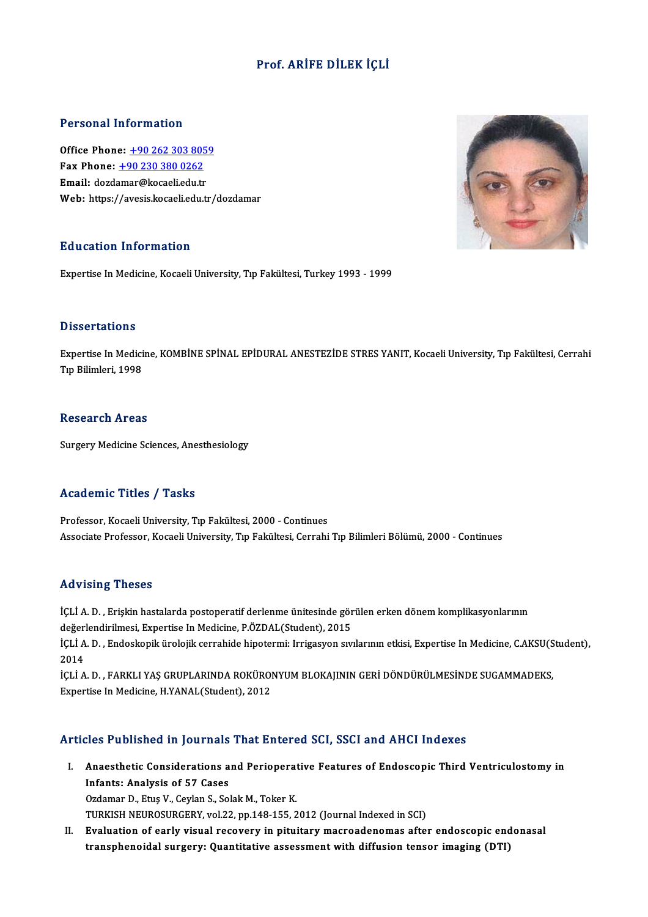## Prof. ARİFE DİLEK İÇLİ

#### Personal Information

**Personal Information<br>Office Phone: +90 262 303 8059<br>Fax Phone: +90 220 220 0262** Fax Phone: <u>+90 262 303 805</u><br>Fax Phone: <u>+90 230 380 0262</u><br>Fmail: dardamar@kacaali adu tr Office Phone: <u>+90 262 303 805</u><br>Fax Phone: <u>+90 230 380 0262</u><br>Email: dozd[amar@kocaeli.edu.t](tel:+90 230 380 0262)[r](tel:+90 262 303 8059)<br>Web: https://avesis.losseli.edu.tr Fax Phone: <u>+90 230 380 0262</u><br>Email: dozdamar@kocaeli.edu.tr<br>Web: https://avesis.kocaeli.edu.tr/dozdamar

#### Education Information

Expertise In Medicine, Kocaeli University, Tıp Fakültesi, Turkey 1993 - 1999

#### **Dissertations**

Dissertations<br>Expertise In Medicine, KOMBİNE SPİNAL EPİDURAL ANESTEZİDE STRES YANIT, Kocaeli University, Tıp Fakültesi, Cerrahi<br>Tıp Bilimleri, 1998 1999<br>Expertise In Medici<br>Tıp Bilimleri, 1998 Tıp Bilimleri, 1998<br>Research Areas

Surgery Medicine Sciences, Anesthesiology

#### Academic Titles / Tasks

Professor, Kocaeli University, Tıp Fakültesi, 2000 - Continues Associate Professor, Kocaeli University, Tıp Fakültesi, Cerrahi Tıp Bilimleri Bölümü, 2000 - Continues

#### Advising Theses

Advising Theses<br>İÇLİ A. D. , Erişkin hastalarda postoperatif derlenme ünitesinde görülen erken dönem komplikasyonlarının<br>değarlandirilmesi, Ernestias In Medicine PÖZPAL (Student), 2015 rta vising i neses<br>İÇLİ A. D. , Erişkin hastalarda postoperatif derlenme ünitesinde gör<br>değerlendirilmesi, Expertise In Medicine, P.ÖZDAL(Student), 2015<br>İÇLİ A. D. , Endeclenik ünelejik esunebide binetermi; İntisasyon evr İÇLİ A. D. , Erişkin hastalarda postoperatif derlenme ünitesinde görülen erken dönem komplikasyonlarının<br>değerlendirilmesi, Expertise In Medicine, P.ÖZDAL(Student), 2015<br>İÇLİ A. D. , Endoskopik ürolojik cerrahide hipotermi değerlendirilmesi, Expertise In Medicine, P.ÖZDAL(Student), 2015<br>İÇLİ A. D. , Endoskopik ürolojik cerrahide hipotermi: Irrigasyon sıv<br>2014

İÇLİ A. D. , Endoskopik ürolojik cerrahide hipotermi: Irrigasyon sıvılarının etkisi, Expertise In Medicine, C.AKSU(S<br>2014<br>İÇLİ A. D. , FARKLI YAŞ GRUPLARINDA ROKÜRONYUM BLOKAJININ GERİ DÖNDÜRÜLMESİNDE SUGAMMADEKS,<br>Eynertis İÇLİ A. D. , FARKLI YAŞ GRUPLARINDA ROKÜRONYUM BLOKAJININ GERİ DÖNDÜRÜLMESİNDE SUGAMMADEKS,<br>Expertise In Medicine, H.YANAL(Student), 2012

#### Articles Published in Journals That Entered SCI, SSCI and AHCI Indexes

- rticles Published in Journals That Entered SCI, SSCI and AHCI Indexes<br>I. Anaesthetic Considerations and Perioperative Features of Endoscopic Third Ventriculostomy in<br>Infonte: Analysis of 57 Gesse Infants: Analysis of 57 Cases<br>Infants: Analysis of 57 Cases<br>Ordaman D. Five V. Caylon S. Sol Infants: Analysis of 57 Cases<br>Ozdamar D., Etuş V., Ceylan S., Solak M., Toker K. TURKISH NEUROSURGERY, vol.22, pp.148-155, 2012 (Journal Indexed in SCI)
- II. Evaluation of early visual recovery in pituitary macroadenomas after endoscopic endonasal transphenoidal surgery: Quantitative assessmentwith diffusion tensor imaging (DTI)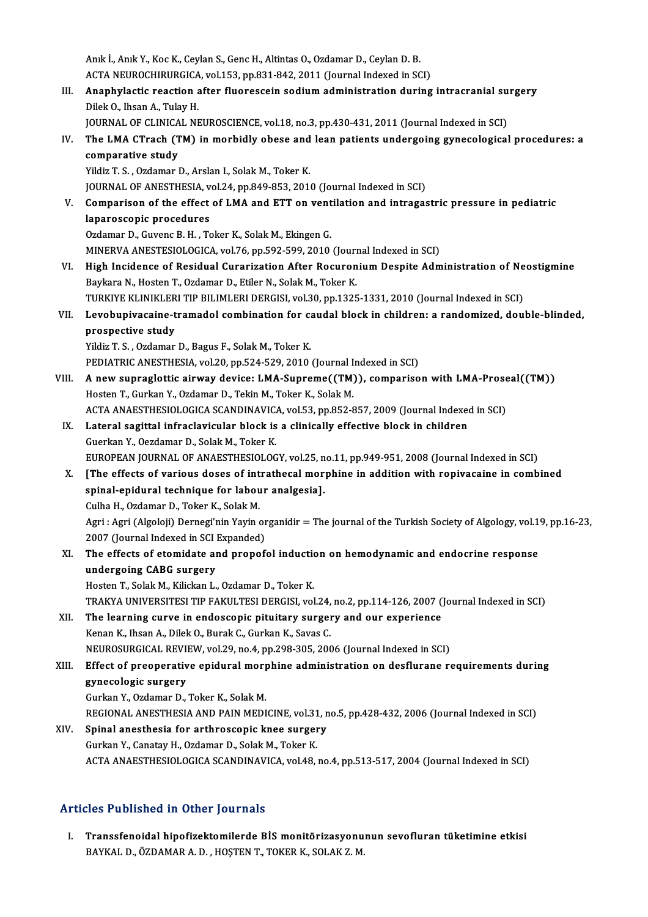Anık İ., Anık Y., Koc K., Ceylan S., Genc H., Altintas O., Ozdamar D., Ceylan D. B. Anık İ., Anık Y., Koc K., Ceylan S., Genc H., Altintas O., Ozdamar D., Ceylan D. B.<br>ACTA NEUROCHIRURGICA, vol.153, pp.831-842, 2011 (Journal Indexed in SCI)<br>Anankylastis neastion aftan fluoreascin sadium administration dur III. Anaphylactic reaction after fluorescein sodium administration during intracranial surgery<br>Dilek O., Ihsan A., Tulay H. ACTA NEUROCHIRURGICA<br><mark>Anaphylactic reaction</mark><br>Dilek O., Ihsan A., Tulay H.<br>JOUPNAL OF CLINICAL NI Anaphylactic reaction after fluorescein sodium administration during intracranial su<br>Dilek O., Ihsan A., Tulay H.<br>JOURNAL OF CLINICAL NEUROSCIENCE, vol.18, no.3, pp.430-431, 2011 (Journal Indexed in SCI)<br>The LMA CTrach (TM Dilek O., Ihsan A., Tulay H.<br>JOURNAL OF CLINICAL NEUROSCIENCE, vol.18, no.3, pp.430-431, 2011 (Journal Indexed in SCI)<br>IV. The LMA CTrach (TM) in morbidly obese and lean patients undergoing gynecological procedures: a<br>c JOURNAL OF CLINICA<br>The LMA CTrach (T<br>comparative study<br><sup>Vildig</sup> T.S. Ozdamar l The LMA CTrach (TM) in morbidly obese and<br>comparative study<br>Yildiz T. S. , Ozdamar D., Arslan I., Solak M., Toker K.<br>JOUPMAL OF ANESTHESIA, yol 24, np 849, 952, 2014 comparative study<br>1990 - Yildiz T. S. , Ozdamar D., Arslan I., Solak M., Toker K.<br>1990 - Journal Indexed in SCI) - Jou.24, pp.849-853, 2010 (Journal Indexed in SCI) Yildiz T. S. , Ozdamar D., Arslan I., Solak M., Toker K.<br>JOURNAL OF ANESTHESIA, vol.24, pp.849-853, 2010 (Journal Indexed in SCI)<br>V. Comparison of the effect of LMA and ETT on ventilation and intragastric pressure in pedia **JOURNAL OF ANESTHESIA, v**<br>**Comparison of the effect**<br>laparoscopic procedures Comparison of the effect of LMA and ETT on vent<br>laparoscopic procedures<br>Ozdamar D., Guvenc B. H. , Toker K., Solak M., Ekingen G.<br>MINERVA ANESTESIOLOGICA, vol 76, pp.502, 500, 2010. laparoscopic procedures<br>Ozdamar D., Guvenc B. H. , Toker K., Solak M., Ekingen G.<br>MINERVA ANESTESIOLOGICA, vol.76, pp.592-599, 2010 (Journal Indexed in SCI) Ozdamar D., Guvenc B. H., Toker K., Solak M., Ekingen G.<br>MINERVA ANESTESIOLOGICA, vol.76, pp.592-599, 2010 (Journal Indexed in SCI)<br>VI. High Incidence of Residual Curarization After Rocuronium Despite Administration of Neo MINERVA ANESTESIOLOGICA, vol.76, pp.592-599, 2010 (Journ)<br>High Incidence of Residual Curarization After Rocuron<br>Baykara N., Hosten T., Ozdamar D., Etiler N., Solak M., Toker K.<br>TURKIVE KLINIKLERLTIR BILIMLERLDERGISL. vol.2 High Incidence of Residual Curarization After Rocuronium Despite Administration of Ne<br>Baykara N., Hosten T., Ozdamar D., Etiler N., Solak M., Toker K.<br>TURKIYE KLINIKLERI TIP BILIMLERI DERGISI, vol.30, pp.1325-1331, 2010 (J Baykara N., Hosten T., Ozdamar D., Etiler N., Solak M., Toker K.<br>TURKIYE KLINIKLERI TIP BILIMLERI DERGISI, vol.30, pp.1325-1331, 2010 (Journal Indexed in SCI)<br>VII. Levobupivacaine-tramadol combination for caudal block TURKIYE KLINIKLERI TIP BILIMLERI DERGISI, vol.30, pp.1325-1331, 2010 (Journal Indexed in SCI)<br>Levobupivacaine-tramadol combination for caudal block in children: a randomized, dou<br>prospective study<br>Yildiz T. S., Ozdamar D., Levobupivacaine-tramadol combination for car<br>prospective study<br>Yildiz T. S. , Ozdamar D., Bagus F., Solak M., Toker K.<br>PEDIATRIC ANESTUESIA .vol 20. pp 524, 529, 2010. prospective study<br>Yildiz T. S. , Ozdamar D., Bagus F., Solak M., Toker K.<br>PEDIATRIC ANESTHESIA, vol.20, pp.524-529, 2010 (Journal Indexed in SCI)<br>A new sunnaglettis sinway devise: J.MA Sunname((TM)), sempenise VIII. A new supraglottic airway device: LMA-Supreme((TM)), comparison with LMA-Proseal((TM))<br>Hosten T., Gurkan Y., Ozdamar D., Tekin M., Toker K., Solak M. PEDIATRIC ANESTHESIA, vol.20, pp.524-529, 2010 (Journal I<br>A new supraglottic airway device: LMA-Supreme((TM)<br>Hosten T., Gurkan Y., Ozdamar D., Tekin M., Toker K., Solak M.<br>ACTA ANAESTHESIOLOGICA SCANDINAVICA, vol.52, pp.95 A new supraglottic airway device: LMA-Supreme((TM)), comparison with LMA-Prose<br>Hosten T., Gurkan Y., Ozdamar D., Tekin M., Toker K., Solak M.<br>ACTA ANAESTHESIOLOGICA SCANDINAVICA, vol.53, pp.852-857, 2009 (Journal Indexed i IX. Lateral sagittal infraclavicular block is a clinically effective block in children Guerkan Y., Oezdamar D., Solak M., Toker K. ACTA ANAESTHESIOLOGICA SCANDINAVIC<br>Lateral sagittal infraclavicular block is<br>Guerkan Y., Oezdamar D., Solak M., Toker K.<br>FUROPEAN JOUPNAL OF ANAESTHESIOLOG Lateral sagittal infraclavicular block is a clinically effective block in children<br>Guerkan Y., Oezdamar D., Solak M., Toker K.<br>EUROPEAN JOURNAL OF ANAESTHESIOLOGY, vol.25, no.11, pp.949-951, 2008 (Journal Indexed in SCI)<br>I X. [The effects of various doses of intrathecal morphine in addition with ropivacaine in combined spinal-epidural technique for labour analgesia]. EUROPEAN JOURNAL OF ANAESTHESIOLOGY, vol.25, n<br>[The effects of various doses of intrathecal mor<br>spinal-epidural technique for labour analgesia]. [The effects of various doses of int<br>spinal-epidural technique for labou<br>Culha H., Ozdamar D., Toker K., Solak M.<br>Agri : Agri (Algolaii) Dernogi'nin Youin ( Agri : Agri (Algoloji) Dernegi'nin Yayin organidir = The journal of the Turkish Society of Algology, vol.19, pp.16-23,<br>2007 (Journal Indexed in SCI Expanded) Culha H., Ozdamar D., Toker K., Solak M.<br>Agri : Agri (Algoloji) Dernegi'nin Yayin or<br>2007 (Journal Indexed in SCI Expanded)<br>The effects of sterridate and propef Agri : Agri (Algoloji) Dernegi'nin Yayin organidir = The journal of the Turkish Society of Algology, vol.1<br>2007 (Journal Indexed in SCI Expanded)<br>XI. The effects of etomidate and propofol induction on hemodynamic and endoc 2007 (Journal Indexed in SCI)<br>The effects of etomidate and<br>undergoing CABG surgery<br>Hesten T. Salak M. Kiliskan L. The effects of etomidate and propofol induction<br>undergoing CABG surgery<br>Hosten T., Solak M., Kilickan L., Ozdamar D., Toker K.<br>TRAEVA UNIVERSITESI TIR RAEUU TESI DERGISL vol undergoing CABG surgery<br>Hosten T., Solak M., Kilickan L., Ozdamar D., Toker K.<br>TRAKYA UNIVERSITESI TIP FAKULTESI DERGISI, vol.24, no.2, pp.114-126, 2007 (Journal Indexed in SCI)<br>The learning surve in andessenis pituitary s Hosten T., Solak M., Kilickan L., Ozdamar D., Toker K.<br>TRAKYA UNIVERSITESI TIP FAKULTESI DERGISI, vol.24, no.2, pp.114-126, 2007 (<br>XII. The learning curve in endoscopic pituitary surgery and our experience<br>Kenen K. Jhan A. TRAKYA UNIVERSITESI TIP FAKULTESI DERGISI, vol.24,<br>The learning curve in endoscopic pituitary surgel<br>Kenan K., Ihsan A., Dilek O., Burak C., Gurkan K., Savas C.<br>NEUPOSUPCICAL PEVIEW. vol.29, po.4, pp.299,205,200 The learning curve in endoscopic pituitary surgery and our experience<br>Kenan K., Ihsan A., Dilek O., Burak C., Gurkan K., Savas C.<br>NEUROSURGICAL REVIEW, vol.29, no.4, pp.298-305, 2006 (Journal Indexed in SCI)<br>Effect of preo Kenan K., Ihsan A., Dilek O., Burak C., Gurkan K., Savas C.<br>NEUROSURGICAL REVIEW, vol.29, no.4, pp.298-305, 2006 (Journal Indexed in SCI)<br>XIII. Effect of preoperative epidural morphine administration on desflurane requirem NEUROSURGICAL REVI<br>Effect of preoperativ<br>gynecologic surgery<br>Curkan Y. Ordamar D Effect of preoperative epidural mor<mark>gynecologic surgery</mark><br>Gurkan Y., Ozdamar D., Toker K., Solak M.<br>PECIONAL ANESTHESIA AND PAIN MEDI gynecologic surgery<br>Gurkan Y., Ozdamar D., Toker K., Solak M.<br>REGIONAL ANESTHESIA AND PAIN MEDICINE, vol.31, no.5, pp.428-432, 2006 (Journal Indexed in SCI)<br>Spinal anesthesia for arthrossonis knee surgery. Gurkan Y., Ozdamar D., Toker K., Solak M.<br>REGIONAL ANESTHESIA AND PAIN MEDICINE, vol.31, r<br>XIV. Spinal anesthesia for arthroscopic knee surgery<br>Gurkan Y., Canatay H., Ozdamar D., Solak M., Toker K. REGIONAL ANESTHESIA AND PAIN MEDICINE, vol.31<br>Spinal anesthesia for arthroscopic knee surger<br>Gurkan Y., Canatay H., Ozdamar D., Solak M., Toker K.<br>ACTA ANAESTHESIOLOGICA SCANDINAVICA .vol.48 ACTA ANAESTHESIOLOGICA SCANDINAVICA, vol.48, no.4, pp.513-517, 2004 (Journal Indexed in SCI)

## Articles Published in Other Journals

I. Transsfenoidal hipofizektomilerde BİSmonitörizasyonunun sevofluran tüketimine etkisi BAYKALD.,ÖZDAMARA.D. ,HOŞTENT.,TOKERK.,SOLAKZ.M.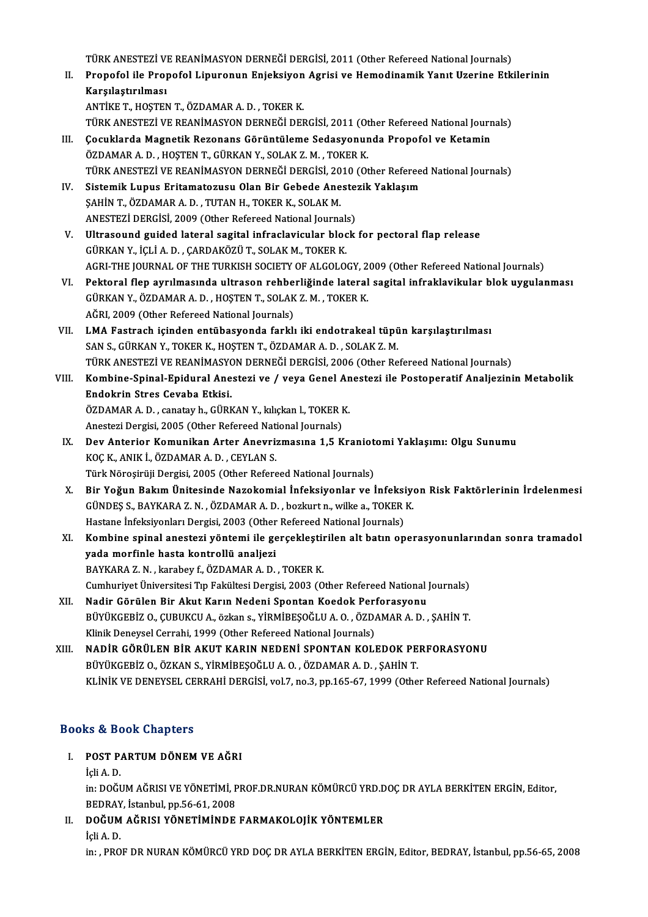TÜRK ANESTEZİ VE REANİMASYON DERNEĞİ DERGİSİ, 2011 (Other Refereed National Journals)<br>Pranafal ile Pranafal Linuranun Eniaksiyan Asrisi ve Hamadinamik Yanıt Uzarine Etk

II. Propofol ile Propofol Lipuronun Enjeksiyon Agrisi ve Hemodinamik Yanıt Uzerine Etkilerinin<br>Karsılaştırılması TÜRK ANESTEZİ V<br>Propofol ile Proj<br>Karşılaştırılması<br>ANTİKE T. HOSTEN

ANTİKET.,HOŞTENT.,ÖZDAMARA.D. ,TOKERK. Karşılaştırılması<br>ANTİKE T., HOŞTEN T., ÖZDAMAR A. D. , TOKER K.<br>TÜRK ANESTEZİ VE REANİMASYON DERNEĞİ DERGİSİ, 2011 (Other Refereed National Journals)<br>Cosuklarda Maspetik Bosonans Görüntüleme Sodasyonunda Branafal ve Katam ANTİKE T., HOŞTEN T., ÖZDAMAR A. D. , TOKER K.<br>TÜRK ANESTEZİ VE REANİMASYON DERNEĞİ DERGİSİ, 2011 (Other Refereed National Journ<br>III. Cocuklarda Magnetik Rezonans Görüntüleme Sedasyonunda Propofol ve Ketamin<br>ÖZDAMAR A. D.

- TÜRK ANESTEZİ VE REANİMASYON DERNEĞİ DERGİSİ, 2011 (Ot<br>Çocuklarda Magnetik Rezonans Görüntüleme Sedasyonur<br>ÖZDAMAR A. D. , HOŞTEN T., GÜRKAN Y., SOLAK Z. M. , TOKER K.<br>TÜRK ANESTEZİ VE REANİMASYON DERNEĞİ DERÇİSİ 2010 (Ot Çocuklarda Magnetik Rezonans Görüntüleme Sedasyonunda Propofol ve Ketamin<br>ÖZDAMAR A. D. , HOŞTEN T., GÜRKAN Y., SOLAK Z. M. , TOKER K.<br>TÜRK ANESTEZİ VE REANİMASYON DERNEĞİ DERGİSİ, 2010 (Other Refereed National Journals)<br>S ÖZDAMAR A. D. , HOŞTEN T., GÜRKAN Y., SOLAK Z. M. , TOKER K.<br>TÜRK ANESTEZI VE REANIMASYON DERNEĞI DERGISI, 2010 (Other Referee<br>IV. Sistemik Lupus Eritamatozusu Olan Bir Gebede Anestezik Yaklaşım<br>SAHIN T. ÖZDAMAR A D. TUTAN
- TÜRK ANESTEZİ VE REANİMASYON DERNEĞİ DERGİSİ, 20<br>Sistemik Lupus Eritamatozusu Olan Bir Gebede Ane<br>ŞAHİN T., ÖZDAMAR A. D. , TUTAN H., TOKER K., SOLAK M.<br>ANESTEZİ DERGİSİ, 2009 (Otbar Bafared National Journe Sistemik Lupus Eritamatozusu Olan Bir Gebede Aneste:<br>ŞAHİN T., ÖZDAMAR A. D. , TUTAN H., TOKER K., SOLAK M.<br>ANESTEZİ DERGİSİ, 2009 (Other Refereed National Journals)<br>Illtresound guidad lateral sagital infraslavisular blask SAHİN T., ÖZDAMAR A. D. , TUTAN H., TOKER K., SOLAK M.<br>ANESTEZİ DERGİSİ, 2009 (Other Refereed National Journals)<br>V. Ultrasound guided lateral sagital infraclavicular block for pectoral flap release
- GÜRKANY., İÇLİA.D. ,ÇARDAKÖZÜT.,SOLAKM.,TOKERK. Ultrasound guided lateral sagital infraclavicular block for pectoral flap release<br>GÜRKAN Y., İÇLİ A. D. , ÇARDAKÖZÜ T., SOLAK M., TOKER K.<br>AGRI-THE JOURNAL OF THE TURKISH SOCIETY OF ALGOLOGY, 2009 (Other Refereed National
- VI. Pektoral flep ayrılmasında ultrason rehberliğinde lateral sagital infraklavikular blok uygulanması AGRI-THE JOURNAL OF THE TURKISH SOCIETY OF ALGOLOGY, 2<br>Pektoral flep ayrılmasında ultrason rehberliğinde lateral<br>GÜRKAN Y., ÖZDAMAR A. D. , HOŞTEN T., SOLAK Z. M. , TOKER K.<br>AČPI 2000 (Other Pefereed National Jeurnals) GÜRKAN Y., ÖZDAMAR A. D. , HOŞTEN T., SOLAK Z. M. , TOKER K.<br>AĞRI, 2009 (Other Refereed National Journals) GÜRKAN Y., ÖZDAMAR A. D. , HOŞTEN T., SOLAK Z. M. , TOKER K.<br>AĞRI, 2009 (Other Refereed National Journals)<br>VII. LMA Fastrach içinden entübasyonda farklı iki endotrakeal tüpün karşılaştırılması<br>SAN S. GÜRKAN Y. TOKER K. HOS
- AĞRI, 2009 (Other Refereed National Journals)<br>LMA Fastrach içinden entübasyonda farklı iki endotrakeal tüpü<br>SAN S., GÜRKAN Y., TOKER K., HOŞTEN T., ÖZDAMAR A. D. , SOLAK Z. M.<br>TÜRK ANESTEZİ VE REANİMASYON DERNEĞİ DERGİSİ 2 LMA Fastrach içinden entübasyonda farklı iki endotrakeal tüpün karşılaştırılması<br>SAN S., GÜRKAN Y., TOKER K., HOŞTEN T., ÖZDAMAR A. D. , SOLAK Z. M.<br>TÜRK ANESTEZİ VE REANİMASYON DERNEĞİ DERGİSİ, 2006 (Other Refereed Nation
- SAN S., GÜRKAN Y., TOKER K., HOŞTEN T., ÖZDAMAR A. D. , SOLAK Z. M.<br>TÜRK ANESTEZI VE REANIMASYON DERNEĞI DERGİSI, 2006 (Other Refereed National Journals)<br>VIII. Kombine-Spinal-Epidural Anestezi ve / veya Genel Anestezi ile TÜRK ANESTEZİ VE REANİMASY<br>Kombine-Spinal-Epidural Ane<br>Endokrin Stres Cevaba Etkisi.<br>ÖZDAMAR A D. canatay b. C<sup>üp</sup>k Kombine-Spinal-Epidural Anestezi ve / veya Genel An<br>Endokrin Stres Cevaba Etkisi.<br>ÖZDAMAR A. D. , canatay h., GÜRKAN Y., kılıçkan l., TOKER K.<br>Anesteri Dergisi 2005 (Other Befereed National Journals). Endokrin Stres Cevaba Etkisi.<br>ÖZDAMAR A. D. , canatay h., GÜRKAN Y., kılıçkan l., TOKER I<br>Anestezi Dergisi, 2005 (Other Refereed National Journals)<br>Dou Anterier Komunikan Arter Aneurizmasına 1 E.K. ÖZDAMAR A. D. , canatay h., GÜRKAN Y., kılıçkan l., TOKER K.<br>Anestezi Dergisi, 2005 (Other Refereed National Journals)<br>IX. Dev Anterior Komunikan Arter Anevrizmasına 1,5 Kraniotomi Yaklaşımı: Olgu Sunumu<br>KOC K. ANIK İ.
	- Anestezi Dergisi, 2005 (Other Refereed National Journals)<br>Dev Anterior Komunikan Arter Anevrizmasına 1,5 Kraniot<br>KOÇ K., ANIK İ., ÖZDAMAR A. D. , CEYLAN S.<br>Türk Nörosirüji Dergisi, 2005 (Other Refereed National Journals) Dev Anterior Komunikan Arter Anevrizmasına 1,5 Kraniot<br>KOÇ K., ANIK İ., ÖZDAMAR A. D. , CEYLAN S.<br>Türk Nöroşirüji Dergisi, 2005 (Other Refereed National Journals)<br>Bir Voğun Bakım Ünitesinde Nazakamial İnfaksiyanlar ve İ
	- X. Bir Yoğun BakımÜnitesinde Nazokomial İnfeksiyonlar ve İnfeksiyon Risk Faktörlerinin İrdelenmesi Türk Nöroşirüji Dergisi, 2005 (Other Refereed National Journals)<br>Bir Yoğun Bakım Ünitesinde Nazokomial İnfeksiyonlar ve İnfeksiyo<br>GÜNDEŞ S., BAYKARA Z. N. , ÖZDAMAR A. D. , bozkurt n., wilke a., TOKER K.<br>Hastana İnfeksiyon Bir Yoğun Bakım Ünitesinde Nazokomial İnfeksiyonlar ve İnfeksi<br>GÜNDEŞ S., BAYKARA Z. N. , ÖZDAMAR A. D. , bozkurt n., wilke a., TOKER<br>Hastane İnfeksiyonları Dergisi, 2003 (Other Refereed National Journals)<br>Kombine spinal a GÜNDEŞ S., BAYKARA Z. N. , ÖZDAMAR A. D. , bozkurt n., wilke a., TOKER K.<br>Hastane İnfeksiyonları Dergisi, 2003 (Other Refereed National Journals)<br>XI. Kombine spinal anestezi yöntemi ile gerçekleştirilen alt batın operasyon
- Hastane İnfeksiyonları Dergisi, 2003 (Other Refereed National Journals)<br>Kombine spinal anestezi yöntemi ile gerçekleştirilen alt batın op<br>yada morfinle hasta kontrollü analjezi<br>BAYKARA Z. N. , karabey f., ÖZDAMAR A. D. , T Kombine spinal anestezi yöntemi ile gerçekleştir<br>yada morfinle hasta kontrollü analjezi<br>BAYKARA Z. N. , karabey f., ÖZDAMAR A. D. , TOKER K.<br>Cumburiyat Üniversitesi Tın Felsiltesi Dergisi 2002 (O Cumhuriyet Üniversitesi Tıp Fakültesi Dergisi, 2003 (Other Refereed National Journals) BAYKARA Z. N. , karabey f., ÖZDAMAR A. D. , TOKER K.<br>Cumhuriyet Üniversitesi Tıp Fakültesi Dergisi, 2003 (Other Refereed National )<br>XII. Nadir Görülen Bir Akut Karın Nedeni Spontan Koedok Perforasyonu<br>PÜVÜKCEPİZ O. GUP
- BÜYÜKGEBİZ O., ÇUBUKCU A., özkan s., YİRMİBEŞOĞLU A. O. , ÖZDAMAR A. D. , ŞAHİN T.<br>Klinik Deneysel Cerrahi, 1999 (Other Refereed National Journals) Nadir Görülen Bir Akut Karın Nedeni Spontan Koedok Peri<br>BÜYÜKGEBİZ O., ÇUBUKCU A., özkan s., YİRMİBEŞOĞLU A. O. , ÖZD*ı*<br>Klinik Deneysel Cerrahi, 1999 (Other Refereed National Journals)<br>NADİR GÖRÜLEN BİR AKUT KARIN NEDENİ BÜYÜKGEBİZ O., ÇUBUKCU A., özkan s., YİRMİBEŞOĞLU A. O. , ÖZDAMAR A. D. , ŞAHİN T.<br>Klinik Deneysel Cerrahi, 1999 (Other Refereed National Journals)<br>XIII. NADİR GÖRÜLEN BİR AKUT KARIN NEDENİ SPONTAN KOLEDOK PERFORASYONU<br>PÜV
- Klinik Deneysel Cerrahi, 1999 (Other Refereed National Journals)<br>NADİR GÖRÜLEN BİR AKUT KARIN NEDENİ SPONTAN KOLEDOK PE<br>BÜYÜKGEBİZ O., ÖZKAN S., YİRMİBEŞOĞLU A. O. , ÖZDAMAR A. D. , ŞAHİN T.<br>KLİNİK VE DENEVSEL CERRAHİ DERÇ BÜYÜKGEBİZ O., ÖZKAN S., YİRMİBEŞOĞLU A. O. , ÖZDAMAR A. D. , ŞAHİN T.<br>KLİNİK VE DENEYSEL CERRAHİ DERGİSİ, vol.7, no.3, pp.165-67, 1999 (Other Refereed National Journals)

## Books&Book Chapters

- ooks & Book Chapters<br>I. POST PARTUM DÖNEM VE AĞRI is & Be<br>POST P.<br>İçli A. D.<br>in: DOČ! İçli A. D.<br>in: DOĞUM AĞRISI VE YÖNETİMİ, PROF.DR.NURAN KÖMÜRCÜ YRD.DOÇ DR AYLA BERKİTEN ERGİN, Editor, İçli A. D.<br>in: DOĞUM AĞRISI VE YÖNETİMİ, P<br>BEDRAY, İstanbul, pp.56-61, 2008<br>DOĞUM AĞBISI YÖNETİMİNDE
- II. DOĞUM AĞRISI YÖNETİMİNDE FARMAKOLOJİK YÖNTEMLER<br>İçli A. D. BEDRAY<br>DOĞUM<br>İçli A. D.<br>in. PPO

in: , PROF DR NURAN KÖMÜRCÜ YRD DOÇ DR AYLA BERKİTEN ERGİN, Editor, BEDRAY, İstanbul, pp.56-65, 2008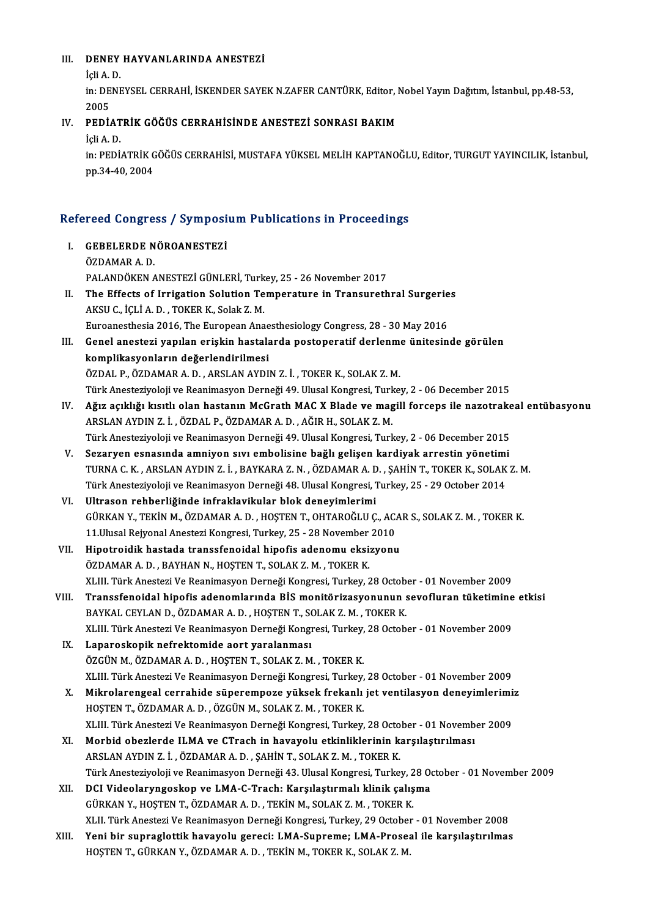## III. DENEY HAYVANLARINDA ANESTEZİ **DENEY**<br>İçli A. D.<br>in: DENE

DENEY HAYVANLARINDA ANESTEZİ<br>İçli A. D.<br>in: DENEYSEL CERRAHİ, İSKENDER SAYEK N.ZAFER CANTÜRK, Editor, Nobel Yayın Dağıtım, İstanbul, pp.48-53,<br>2005 İçli A.<br>in: DE<br>2005<br>PEDİ IN: DENEYSEL CERRAHİ, İSKENDER SAYEK N.ZAFER CANTÜRK, Editor, 1<br>2005<br>IV. PEDİATRİK GÖĞÜS CERRAHİSİNDE ANESTEZİ SONRASI BAKIM<br>İcli A.D

# 2005<br>IV. PEDIATRIK GÖĞÜS CERRAHISINDE ANESTEZI SONRASI BAKIM<br>İçli A. D.

PEDİATRİK GÖĞÜS CERRAHİSİNDE ANESTEZİ SONRASI BAKIM<br>İçli A. D.<br>in: PEDİATRİK GÖĞÜS CERRAHİSİ, MUSTAFA YÜKSEL MELİH KAPTANOĞLU, Editor, TURGUT YAYINCILIK, İstanbul,<br>pp.34.40.2004 İçli A. D.<br>in: PEDİATRİK G<br>pp.34-40, 2004

# pp.34-40, 2004<br>Refereed Congress / Symposium Publications in Proceedings

- efereed Congress / Symposi<br>I. GEBELERDE NÖROANESTEZİ<br>ÖZDAMARA D I. GEBELERDE NÖROANESTEZİ<br>ÖZDAMARA.D. PALANDÖKEN ANESTEZİ GÜNLERİ, Turkey, 25 - 26 November 2017 ÖZDAMAR A. D.<br>PALANDÖKEN ANESTEZİ GÜNLERİ, Turkey, 25 - 26 November 2017<br>II. The Effects of Irrigation Solution Temperature in Transurethral Surgeries<br>AKSU G. İÇLİ A. D. TOKER K. Solak 7 M PALANDÖKEN ANESTEZİ GÜNLERİ, Turk<br>The Effects of Irrigation Solution Te<br>AKSU C., İÇLİ A. D. , TOKER K., Solak Z. M.<br>Euroanesthesia 2016, The Euroneen Ane
- The Effects of Irrigation Solution Temperature in Transurethral Surgerie<br>AKSU C., İÇLİ A. D. , TOKER K., Solak Z. M.<br>Euroanesthesia 2016, The European Anaesthesiology Congress, 28 30 May 2016<br>Conel anesteri vanılan erisk AKSU C., İÇLİ A. D. , TOKER K., Solak Z. M.<br>Euroanesthesia 2016, The European Anaesthesiology Congress, 28 - 30 May 2016<br>III. Genel anestezi yapılan erişkin hastalarda postoperatif derlenme ünitesinde görülen<br>Ismulikasyanl
- Euroanesthesia 2016, The European Anae<br>Genel anestezi yapılan erişkin hastala<br>komplikasyonların değerlendirilmesi<br>ÖZDAL B. ÖZDAMAR A.D., ARSLAN AYDL Genel anestezi yapılan erişkin hastalarda postoperatif derlenme<br>komplikasyonların değerlendirilmesi<br>ÖZDAL P., ÖZDAMAR A. D. , ARSLAN AYDIN Z. İ. , TOKER K., SOLAK Z. M.<br>Türk Anesteziyoleji ve Beanimesyon Derneği 49, Ulusal komplikasyonların değerlendirilmesi<br>ÖZDAL P., ÖZDAMAR A. D. , ARSLAN AYDIN Z. İ. , TOKER K., SOLAK Z. M.<br>Türk Anesteziyoloji ve Reanimasyon Derneği 49. Ulusal Kongresi, Turkey, 2 - 06 December 2015 ÖZDAL P., ÖZDAMAR A. D. , ARSLAN AYDIN Z. İ. , TOKER K., SOLAK Z. M.<br>Türk Anesteziyoloji ve Reanimasyon Derneği 49. Ulusal Kongresi, Turkey, 2 - 06 December 2015<br>IV. Ağız açıklığı kısıtlı olan hastanın McGrath MAC X Bl
- Türk Anesteziyoloji ve Reanimasyon Derneği 49. Ulusal Kongresi, Turk<br>Ağız açıklığı kısıtlı olan hastanın McGrath MAC X Blade ve mag<br>ARSLAN AYDIN Z. İ. , ÖZDAL P., ÖZDAMAR A. D. , AĞIR H., SOLAK Z. M.<br>Türk Anesteriyeleji ve ARSLAN AYDIN Z. İ. , ÖZDAL P., ÖZDAMAR A. D. , AĞIR H., SOLAK Z. M.<br>Türk Anesteziyoloji ve Reanimasyon Derneği 49. Ulusal Kongresi, Turkey, 2 - 06 December 2015
- V. Sezaryen esnasında amniyon sıvı embolisine bağlı gelişen kardiyak arrestin yönetimi Türk Anesteziyoloji ve Reanimasyon Derneği 49. Ulusal Kongresi, Turkey, 2 - 06 December 2015<br>Sezaryen esnasında amniyon sıvı embolisine bağlı gelişen kardiyak arrestin yönetimi<br>TÜRNA C. K. , ARSLAN AYDIN Z. İ. , BAYKARA Z. Sezaryen esnasında amniyon sıvı embolisine bağlı gelişen kardiyak arrestin yönetimi<br>TURNA C. K. , ARSLAN AYDIN Z. İ. , BAYKARA Z. N. , ÖZDAMAR A. D. , ŞAHİN T., TOKER K., SOLAK<br>Türk Anesteziyoloji ve Reanimasyon Derneği 48 TURNA C. K. , ARSLAN AYDIN Z. İ. , BAYKARA Z. N. , ÖZDAMAR A. D<br>Türk Anesteziyoloji ve Reanimasyon Derneği 48. Ulusal Kongresi, 1<br>VI. Ultrason rehberliğinde infraklavikular blok deneyimlerimi<br>CÜRKAN V. TEKİN M. ÖZRAMAR A.
- Türk Anesteziyoloji ve Reanimasyon Derneği 48. Ulusal Kongresi, Turkey, 25 29 October 2014<br>Ultrason rehberliğinde infraklavikular blok deneyimlerimi<br>GÜRKAN Y., TEKİN M., ÖZDAMAR A. D. , HOŞTEN T., OHTAROĞLU Ç., ACAR S., Ultrason rehberliğinde infraklavikular blok deneyimlerimi<br>GÜRKAN Y., TEKİN M., ÖZDAMAR A. D. , HOŞTEN T., OHTAROĞLU Ç., AC.<br>11.Ulusal Rejyonal Anestezi Kongresi, Turkey, 25 - 28 November 2010<br>Hinetreidik bestade transafone GÜRKAN Y., TEKİN M., ÖZDAMAR A. D. , HOŞTEN T., OHTAROĞLU Ç., ACA<br>11.Ulusal Rejyonal Anestezi Kongresi, Turkey, 25 - 28 November 2010<br>VII. Hipotroidik hastada transsfenoidal hipofis adenomu eksizyonu<br>ÖZDAMAR A. D., BAY
- 11.Ulusal Rejyonal Anestezi Kongresi, Turkey, 25 28 November 2010<br>Hipotroidik hastada transsfenoidal hipofis adenomu eksizyonu<br>ÖZDAMAR A. D. , BAYHAN N., HOŞTEN T., SOLAK Z. M. , TOKER K. XLIII. Türk Anestezi Ve Reanimasyon Derneği Kongresi, Turkey, 28 October - 01 November 2009 ÖZDAMAR A. D. , BAYHAN N., HOŞTEN T., SOLAK Z. M. , TOKER K.<br>XLIII. Türk Anestezi Ve Reanimasyon Derneği Kongresi, Turkey, 28 October - 01 November 2009<br>VIII. Transsfenoidal hipofis adenomlarında BİS monitörizasyonunun
- BAYKAL CEYLAN D., ÖZDAMAR A. D. , HOŞTEN T., SOLAK Z. M. , TOKER K.<br>XLIII. Türk Anestezi Ve Reanimasyon Derneği Kongresi, Turkey, 28 October 01 November 2009 Transsfenoidal hipofis adenomlarında BİS monitörizasyonunun sevofluran tüketimine<br>BAYKAL CEYLAN D., ÖZDAMAR A. D. , HOŞTEN T., SOLAK Z. M. , TOKER K.<br>XLIII. Türk Anestezi Ve Reanimasyon Derneği Kongresi, Turkey, 28 October
- IX. Laparoskopik nefrektomide aort yaralanması ÖZGÜN M., ÖZDAMAR A. D., HOŞTEN T., SOLAK Z. M., TOKER K. XLIII. Türk Anestezi Ve Reanimasyon Derneği Kongresi, Turkey, 28 October - 01 November 2009 ÖZGÜN M., ÖZDAMAR A. D., HOŞTEN T., SOLAK Z. M., TOKER K.<br>XLIII. Türk Anestezi Ve Reanimasyon Derneği Kongresi, Turkey, 28 October - 01 November 2009<br>X. Mikrolarengeal cerrahide süperempoze yüksek frekanlı jet ventilasyon
- XLIII. Türk Anestezi Ve Reanimasyon Derneği Kongresi, Turkey,<br><mark>Mikrolarengeal cerrahide süperempoze yüksek frekanlı</mark><br>HOŞTEN T., ÖZDAMAR A. D. , ÖZGÜN M., SOLAK Z. M. , TOKER K.<br>YLIH Türk Anesteri Ve Beanimasyon Derneği Kon Mikrolarengeal cerrahide süperempoze yüksek frekanlı jet ventilasyon deneyimlerimi:<br>HOŞTEN T., ÖZDAMAR A. D. , ÖZGÜN M., SOLAK Z. M. , TOKER K.<br>XLIII. Türk Anestezi Ve Reanimasyon Derneği Kongresi, Turkey, 28 October - 01 HOŞTEN T., ÖZDAMAR A. D. , ÖZGÜN M., SOLAK Z. M. , TOKER K.<br>XLIII. Türk Anestezi Ve Reanimasyon Derneği Kongresi, Turkey, 28 October - 01 November 2009<br>XI. Morbid obezlerde ILMA ve CTrach in havayolu etkinliklerinin ka
- ARSLANAYDINZ. İ. ,ÖZDAMARA.D. ,ŞAHİNT.,SOLAKZ.M. ,TOKERK. Türk Anesteziyoloji ve Reanimasyon Derneği 43. Ulusal Kongresi, Turkey, 28 October - 01 November 2009
- XII. DCI Videolaryngoskop ve LMA-C-Trach: Karşılaştırmalı klinik çalışma GÜRKANY.,HOŞTENT.,ÖZDAMARA.D. ,TEKİNM.,SOLAKZ.M. ,TOKERK. DCI Videolaryngoskop ve LMA-C-Trach: Karşılaştırmalı klinik çalışma<br>GÜRKAN Y., HOŞTEN T., ÖZDAMAR A. D. , TEKİN M., SOLAK Z. M. , TOKER K.<br>XLII. Türk Anestezi Ve Reanimasyon Derneği Kongresi, Turkey, 29 October - 01 Novemb GÜRKAN Y., HOŞTEN T., ÖZDAMAR A. D., TEKİN M., SOLAK Z. M., TOKER K.<br>XLII. Türk Anestezi Ve Reanimasyon Derneği Kongresi, Turkey, 29 October - 01 November 2008<br>XIII. Yeni bir supraglottik havayolu gereci: LMA-Supreme; LMA-
- XLII. Türk Anestezi Ve Reanimasyon Derneği Kongresi, Turkey, 29 Octobeı<br>Yeni bir supraglottik havayolu gereci: LMA-Supreme; LMA-Prosea<br>HOŞTEN T., GÜRKAN Y., ÖZDAMAR A. D. , TEKİN M., TOKER K., SOLAK Z. M.